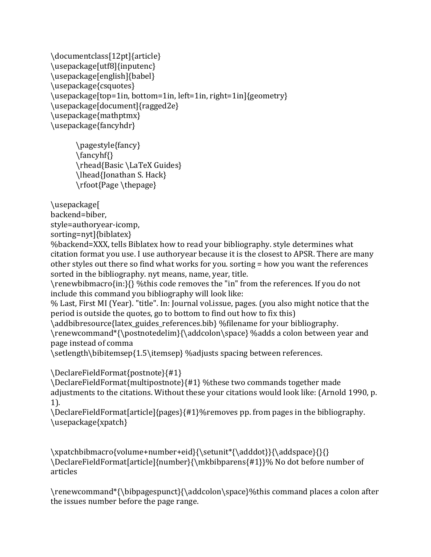```
\documentclass[12pt]{article}
\usepackage[utf8]{inputenc}
\usepackage[english]{babel}
\usepackage{csquotes}
\usepackage[top=1in, bottom=1in, left=1in, right=1in]{geometry}
\usepackage[document]{ragged2e}
\usepackage{mathptmx}
\usepackage{fancyhdr}
```
\pagestyle{fancy} \fancyhf{} \rhead{Basic \LaTeX Guides} \lhead{Jonathan S. Hack} \rfoot{Page \thepage}

\usepackage[

backend=biber,

style=authoryear-icomp, 

sorting=nyt]{biblatex} 

%backend=XXX, tells Biblatex how to read your bibliography. style determines what citation format you use. I use authoryear because it is the closest to APSR. There are many other styles out there so find what works for you. sorting = how you want the references sorted in the bibliography. nyt means, name, year, title.

\renewbibmacro{in:}{} %this code removes the "in" from the references. If you do not include this command you bibliography will look like:

% Last, First MI (Year). "title". In: Journal vol.issue, pages. (you also might notice that the period is outside the quotes, go to bottom to find out how to fix this)

\addbibresource{latex\_guides\_references.bib} %filename for your bibliography. \renewcommand\*{\postnotedelim}{\addcolon\space} %adds a colon between year and page instead of comma

\setlength\bibitemsep{1.5\itemsep} %adjusts spacing between references.

\DeclareFieldFormat{postnote}{#1}

\DeclareFieldFormat{multipostnote}{#1} %these two commands together made adjustments to the citations. Without these your citations would look like: (Arnold 1990, p. 1). 

\DeclareFieldFormat[article]{pages}{#1}%removes pp. from pages in the bibliography. \usepackage{xpatch}

\xpatchbibmacro{volume+number+eid}{\setunit\*{\adddot}}{\addspace}{}{} \DeclareFieldFormat[article]{number}{\mkbibparens{#1}}% No dot before number of articles

\renewcommand\*{\bibpagespunct}{\addcolon\space}%this command places a colon after the issues number before the page range.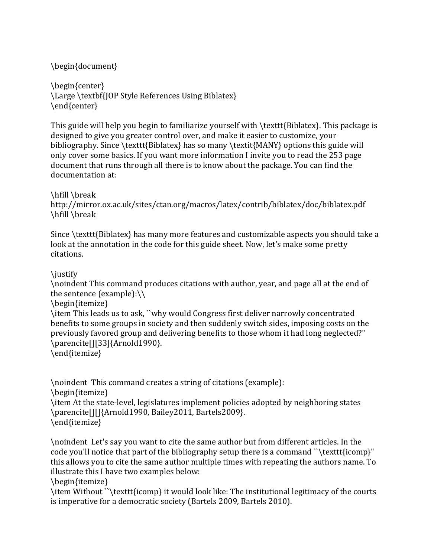## \begin{document}

\begin{center} \Large \textbf{JOP Style References Using Biblatex} \end{center}

This guide will help you begin to familiarize yourself with  $\text{Est}(Biblatex)$ . This package is designed to give you greater control over, and make it easier to customize, your bibliography. Since  $\text{Biblates}$  has so many  $\text{MANY}$  options this guide will only cover some basics. If you want more information I invite you to read the 253 page document that runs through all there is to know about the package. You can find the documentation at:

\hfill \break http://mirror.ox.ac.uk/sites/ctan.org/macros/latex/contrib/biblatex/doc/biblatex.pdf \hfill \break

Since  $\texttt{Biblatex}$  has many more features and customizable aspects you should take a look at the annotation in the code for this guide sheet. Now, let's make some pretty citations.

## \justify

\noindent This command produces citations with author, year, and page all at the end of the sentence (example): $\setminus$ 

\begin{itemize}

\item This leads us to ask, "why would Congress first deliver narrowly concentrated benefits to some groups in society and then suddenly switch sides, imposing costs on the previously favored group and delivering benefits to those whom it had long neglected?" \parencite[][33]{Arnold1990}.

\end{itemize}

\noindent This command creates a string of citations (example): \begin{itemize} \item At the state-level, legislatures implement policies adopted by neighboring states \parencite[][]{Arnold1990, Bailey2011, Bartels2009}. \end{itemize}

\noindent Let's say you want to cite the same author but from different articles. In the code you'll notice that part of the bibliography setup there is a command "\texttt{icomp}" this allows you to cite the same author multiple times with repeating the authors name. To illustrate this I have two examples below:

\begin{itemize}

\item Without ``\texttt{icomp} it would look like: The institutional legitimacy of the courts is imperative for a democratic society (Bartels 2009, Bartels 2010).